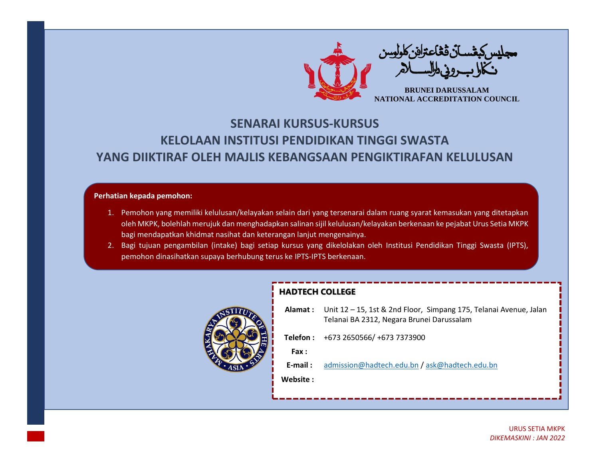

## **SENARAI KURSUS-KURSUS KELOLAAN INSTITUSI PENDIDIKAN TINGGI SWASTA YANG DIIKTIRAF OLEH MAJLIS KEBANGSAAN PENGIKTIRAFAN KELULUSAN**

## **Perhatian kepada pemohon:**

- 1. Pemohon yang memiliki kelulusan/kelayakan selain dari yang tersenarai dalam ruang syarat kemasukan yang ditetapkan oleh MKPK, bolehlah merujuk dan menghadapkan salinan sijil kelulusan/kelayakan berkenaan ke pejabat Urus Setia MKPK bagi mendapatkan khidmat nasihat dan keterangan lanjut mengenainya.
- 2. Bagi tujuan pengambilan (intake) bagi setiap kursus yang dikelolakan oleh Institusi Pendidikan Tinggi Swasta (IPTS), pemohon dinasihatkan supaya berhubung terus ke IPTS-IPTS berkenaan.



## **HADTECH COLLEGE**

| Alamat: Unit 12 - 15, 1st & 2nd Floor, Simpang 175, Telanai Avenue, Jalan<br>Telanai BA 2312, Negara Brunei Darussalam |
|------------------------------------------------------------------------------------------------------------------------|
| Telefon: +673 2650566/ +673 7373900                                                                                    |
|                                                                                                                        |
| admission@hadtech.edu.bn / ask@hadtech.edu.bn                                                                          |
|                                                                                                                        |
|                                                                                                                        |
|                                                                                                                        |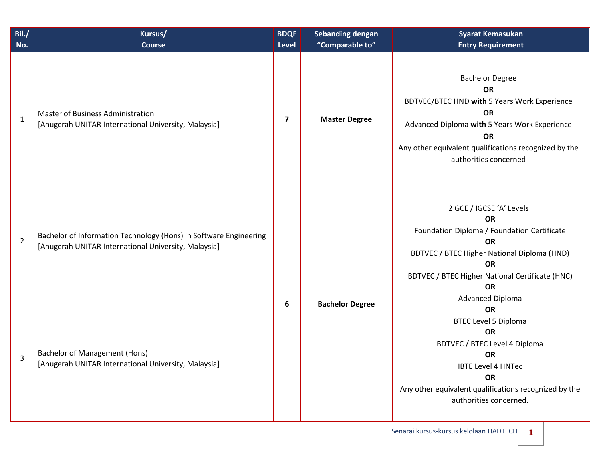| Bil./<br>No.   | Kursus/<br><b>Course</b>                                                                                                  | <b>BDQF</b><br><b>Level</b> | <b>Sebanding dengan</b><br>"Comparable to" | <b>Syarat Kemasukan</b><br><b>Entry Requirement</b>                                                                                                                                                                                                         |                                                                                                                                                                                                                               |
|----------------|---------------------------------------------------------------------------------------------------------------------------|-----------------------------|--------------------------------------------|-------------------------------------------------------------------------------------------------------------------------------------------------------------------------------------------------------------------------------------------------------------|-------------------------------------------------------------------------------------------------------------------------------------------------------------------------------------------------------------------------------|
| $\mathbf{1}$   | <b>Master of Business Administration</b><br>[Anugerah UNITAR International University, Malaysia]                          | $\overline{\mathbf{z}}$     | <b>Master Degree</b>                       | <b>Bachelor Degree</b><br><b>OR</b><br>BDTVEC/BTEC HND with 5 Years Work Experience<br><b>OR</b><br>Advanced Diploma with 5 Years Work Experience<br><b>OR</b><br>Any other equivalent qualifications recognized by the<br>authorities concerned            |                                                                                                                                                                                                                               |
| $\overline{2}$ | Bachelor of Information Technology (Hons) in Software Engineering<br>[Anugerah UNITAR International University, Malaysia] | 6                           |                                            |                                                                                                                                                                                                                                                             | 2 GCE / IGCSE 'A' Levels<br><b>OR</b><br>Foundation Diploma / Foundation Certificate<br><b>OR</b><br>BDTVEC / BTEC Higher National Diploma (HND)<br><b>OR</b><br>BDTVEC / BTEC Higher National Certificate (HNC)<br><b>OR</b> |
| 3              | <b>Bachelor of Management (Hons)</b><br>[Anugerah UNITAR International University, Malaysia]                              |                             | <b>Bachelor Degree</b>                     | <b>Advanced Diploma</b><br><b>OR</b><br><b>BTEC Level 5 Diploma</b><br><b>OR</b><br>BDTVEC / BTEC Level 4 Diploma<br><b>OR</b><br><b>IBTE Level 4 HNTec</b><br><b>OR</b><br>Any other equivalent qualifications recognized by the<br>authorities concerned. |                                                                                                                                                                                                                               |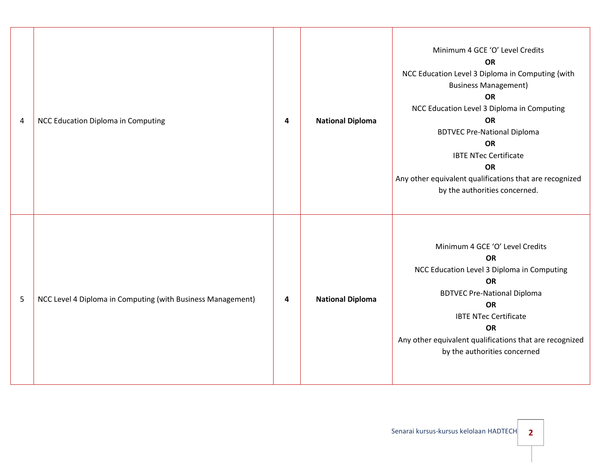| 4 | NCC Education Diploma in Computing                          | 4 | <b>National Diploma</b> | Minimum 4 GCE 'O' Level Credits<br><b>OR</b><br>NCC Education Level 3 Diploma in Computing {with<br><b>Business Management)</b><br><b>OR</b><br>NCC Education Level 3 Diploma in Computing<br><b>OR</b><br><b>BDTVEC Pre-National Diploma</b><br><b>OR</b><br><b>IBTE NTec Certificate</b><br><b>OR</b><br>Any other equivalent qualifications that are recognized<br>by the authorities concerned. |
|---|-------------------------------------------------------------|---|-------------------------|-----------------------------------------------------------------------------------------------------------------------------------------------------------------------------------------------------------------------------------------------------------------------------------------------------------------------------------------------------------------------------------------------------|
| 5 | NCC Level 4 Diploma in Computing (with Business Management) | 4 | <b>National Diploma</b> | Minimum 4 GCE 'O' Level Credits<br><b>OR</b><br>NCC Education Level 3 Diploma in Computing<br><b>OR</b><br><b>BDTVEC Pre-National Diploma</b><br><b>OR</b><br><b>IBTE NTec Certificate</b><br><b>OR</b><br>Any other equivalent qualifications that are recognized<br>by the authorities concerned                                                                                                  |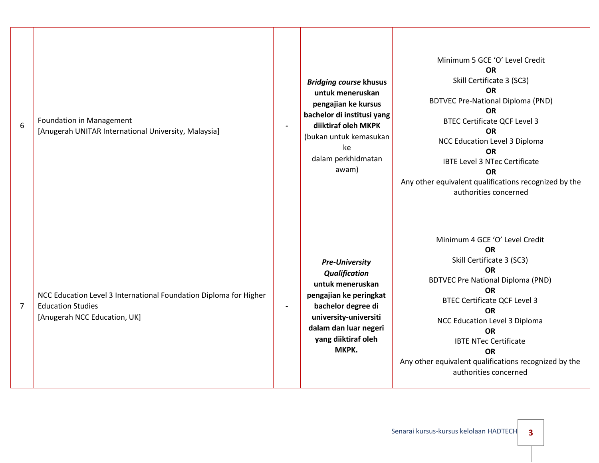| 6              | <b>Foundation in Management</b><br>[Anugerah UNITAR International University, Malaysia]                                       |                | <b>Bridging course khusus</b><br>untuk meneruskan<br>pengajian ke kursus<br>bachelor di institusi yang<br>diiktiraf oleh MKPK<br>(bukan untuk kemasukan<br>ke<br>dalam perkhidmatan<br>awam)        | Minimum 5 GCE 'O' Level Credit<br><b>OR</b><br>Skill Certificate 3 (SC3)<br><b>OR</b><br><b>BDTVEC Pre-National Diploma (PND)</b><br><b>OR</b><br><b>BTEC Certificate QCF Level 3</b><br><b>OR</b><br>NCC Education Level 3 Diploma<br><b>OR</b><br><b>IBTE Level 3 NTec Certificate</b><br><b>OR</b><br>Any other equivalent qualifications recognized by the<br>authorities concerned |
|----------------|-------------------------------------------------------------------------------------------------------------------------------|----------------|-----------------------------------------------------------------------------------------------------------------------------------------------------------------------------------------------------|-----------------------------------------------------------------------------------------------------------------------------------------------------------------------------------------------------------------------------------------------------------------------------------------------------------------------------------------------------------------------------------------|
| $\overline{7}$ | NCC Education Level 3 International Foundation Diploma for Higher<br><b>Education Studies</b><br>[Anugerah NCC Education, UK] | $\blacksquare$ | <b>Pre-University</b><br><b>Qualification</b><br>untuk meneruskan<br>pengajian ke peringkat<br>bachelor degree di<br>university-universiti<br>dalam dan luar negeri<br>yang diiktiraf oleh<br>MKPK. | Minimum 4 GCE 'O' Level Credit<br><b>OR</b><br>Skill Certificate 3 (SC3)<br><b>OR</b><br><b>BDTVEC Pre National Diploma (PND)</b><br><b>OR</b><br><b>BTEC Certificate QCF Level 3</b><br><b>OR</b><br>NCC Education Level 3 Diploma<br><b>OR</b><br><b>IBTE NTec Certificate</b><br><b>OR</b><br>Any other equivalent qualifications recognized by the<br>authorities concerned         |